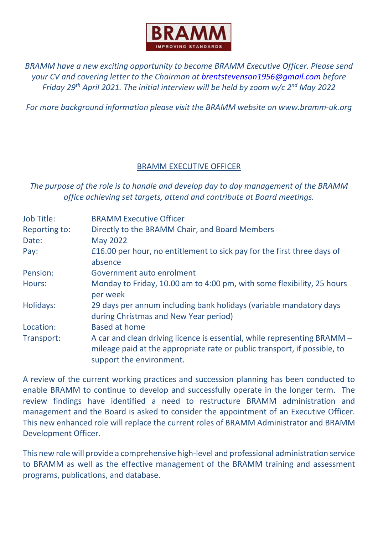

*BRAMM have a new exciting opportunity to become BRAMM Executive Officer. Please send your CV and covering letter to the Chairman at [brentstevenson1956@gmail.com](mailto:brentstevenson1956@gmail.com) before Friday 29th April 2021. The initial interview will be held by zoom w/c 2nd May 2022*

*For more background information please visit the BRAMM website on www.bramm-uk.org*

# BRAMM EXECUTIVE OFFICER

*The purpose of the role is to handle and develop day to day management of the BRAMM office achieving set targets, attend and contribute at Board meetings.*

| <b>Job Title:</b>    | <b>BRAMM Executive Officer</b>                                                                                                                                                    |
|----------------------|-----------------------------------------------------------------------------------------------------------------------------------------------------------------------------------|
| <b>Reporting to:</b> | Directly to the BRAMM Chair, and Board Members                                                                                                                                    |
| Date:                | <b>May 2022</b>                                                                                                                                                                   |
| Pay:                 | £16.00 per hour, no entitlement to sick pay for the first three days of<br>absence                                                                                                |
| Pension:             | Government auto enrolment                                                                                                                                                         |
| Hours:               | Monday to Friday, 10.00 am to 4:00 pm, with some flexibility, 25 hours<br>per week                                                                                                |
| Holidays:            | 29 days per annum including bank holidays (variable mandatory days<br>during Christmas and New Year period)                                                                       |
| Location:            | <b>Based at home</b>                                                                                                                                                              |
| Transport:           | A car and clean driving licence is essential, while representing BRAMM -<br>mileage paid at the appropriate rate or public transport, if possible, to<br>support the environment. |

A review of the current working practices and succession planning has been conducted to enable BRAMM to continue to develop and successfully operate in the longer term. The review findings have identified a need to restructure BRAMM administration and management and the Board is asked to consider the appointment of an Executive Officer. This new enhanced role will replace the current roles of BRAMM Administrator and BRAMM Development Officer.

This new role will provide a comprehensive high-level and professional administration service to BRAMM as well as the effective management of the BRAMM training and assessment programs, publications, and database.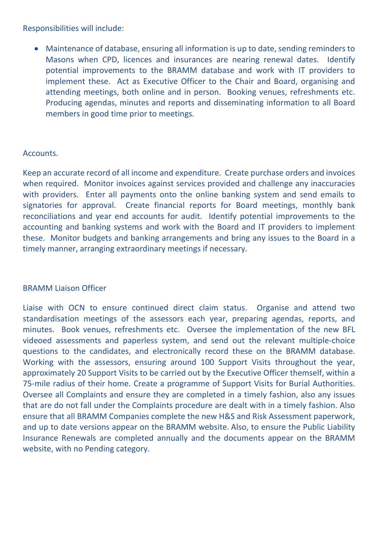Responsibilities will include:

• Maintenance of database, ensuring all information is up to date, sending reminders to Masons when CPD, licences and insurances are nearing renewal dates. Identify potential improvements to the BRAMM database and work with IT providers to implement these. Act as Executive Officer to the Chair and Board, organising and attending meetings, both online and in person. Booking venues, refreshments etc. Producing agendas, minutes and reports and disseminating information to all Board members in good time prior to meetings.

#### Accounts.

Keep an accurate record of all income and expenditure. Create purchase orders and invoices when required. Monitor invoices against services provided and challenge any inaccuracies with providers. Enter all payments onto the online banking system and send emails to signatories for approval. Create financial reports for Board meetings, monthly bank reconciliations and year end accounts for audit. Identify potential improvements to the accounting and banking systems and work with the Board and IT providers to implement these. Monitor budgets and banking arrangements and bring any issues to the Board in a timely manner, arranging extraordinary meetings if necessary.

# BRAMM Liaison Officer

Liaise with OCN to ensure continued direct claim status. Organise and attend two standardisation meetings of the assessors each year, preparing agendas, reports, and minutes. Book venues, refreshments etc. Oversee the implementation of the new BFL videoed assessments and paperless system, and send out the relevant multiple-choice questions to the candidates, and electronically record these on the BRAMM database. Working with the assessors, ensuring around 100 Support Visits throughout the year, approximately 20 Support Visits to be carried out by the Executive Officer themself, within a 75-mile radius of their home. Create a programme of Support Visits for Burial Authorities. Oversee all Complaints and ensure they are completed in a timely fashion, also any issues that are do not fall under the Complaints procedure are dealt with in a timely fashion. Also ensure that all BRAMM Companies complete the new H&S and Risk Assessment paperwork, and up to date versions appear on the BRAMM website. Also, to ensure the Public Liability Insurance Renewals are completed annually and the documents appear on the BRAMM website, with no Pending category.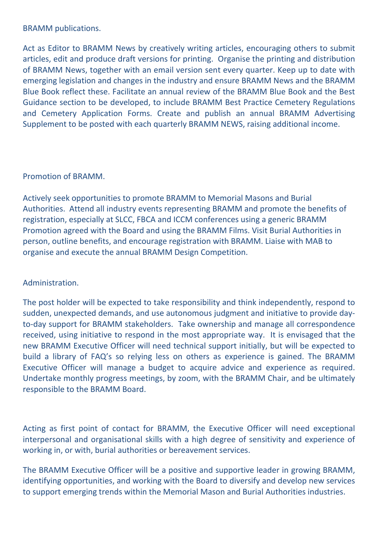### BRAMM publications.

Act as Editor to BRAMM News by creatively writing articles, encouraging others to submit articles, edit and produce draft versions for printing. Organise the printing and distribution of BRAMM News, together with an email version sent every quarter. Keep up to date with emerging legislation and changes in the industry and ensure BRAMM News and the BRAMM Blue Book reflect these. Facilitate an annual review of the BRAMM Blue Book and the Best Guidance section to be developed, to include BRAMM Best Practice Cemetery Regulations and Cemetery Application Forms. Create and publish an annual BRAMM Advertising Supplement to be posted with each quarterly BRAMM NEWS, raising additional income.

# Promotion of BRAMM.

Actively seek opportunities to promote BRAMM to Memorial Masons and Burial Authorities. Attend all industry events representing BRAMM and promote the benefits of registration, especially at SLCC, FBCA and ICCM conferences using a generic BRAMM Promotion agreed with the Board and using the BRAMM Films. Visit Burial Authorities in person, outline benefits, and encourage registration with BRAMM. Liaise with MAB to organise and execute the annual BRAMM Design Competition.

# Administration.

The post holder will be expected to take responsibility and think independently, respond to sudden, unexpected demands, and use autonomous judgment and initiative to provide dayto-day support for BRAMM stakeholders. Take ownership and manage all correspondence received, using initiative to respond in the most appropriate way. It is envisaged that the new BRAMM Executive Officer will need technical support initially, but will be expected to build a library of FAQ's so relying less on others as experience is gained. The BRAMM Executive Officer will manage a budget to acquire advice and experience as required. Undertake monthly progress meetings, by zoom, with the BRAMM Chair, and be ultimately responsible to the BRAMM Board.

Acting as first point of contact for BRAMM, the Executive Officer will need exceptional interpersonal and organisational skills with a high degree of sensitivity and experience of working in, or with, burial authorities or bereavement services.

The BRAMM Executive Officer will be a positive and supportive leader in growing BRAMM, identifying opportunities, and working with the Board to diversify and develop new services to support emerging trends within the Memorial Mason and Burial Authorities industries.